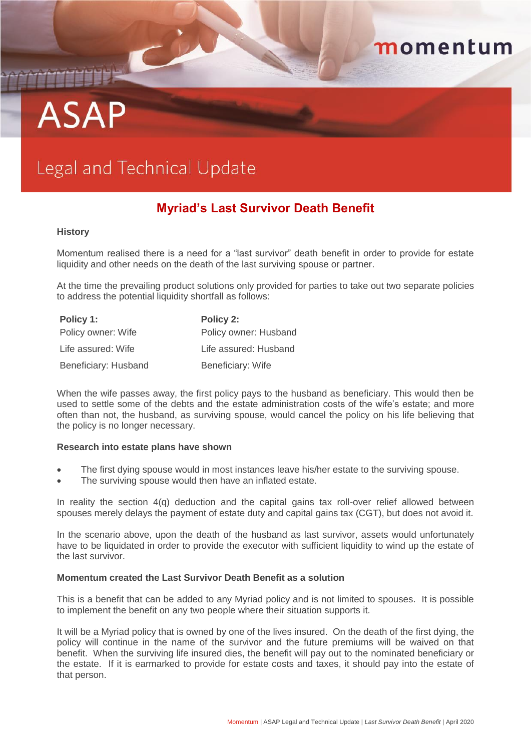# **ASAP**

# Legal and Technical Update

# **Myriad's Last Survivor Death Benefit**

momentum

#### **History**

Momentum realised there is a need for a "last survivor" death benefit in order to provide for estate liquidity and other needs on the death of the last surviving spouse or partner.

At the time the prevailing product solutions only provided for parties to take out two separate policies to address the potential liquidity shortfall as follows:

| Policy 1:            | Policy 2:             |
|----------------------|-----------------------|
| Policy owner: Wife   | Policy owner: Husband |
| Life assured: Wife   | Life assured: Husband |
| Beneficiary: Husband | Beneficiary: Wife     |

When the wife passes away, the first policy pays to the husband as beneficiary. This would then be used to settle some of the debts and the estate administration costs of the wife's estate; and more often than not, the husband, as surviving spouse, would cancel the policy on his life believing that the policy is no longer necessary.

#### **Research into estate plans have shown**

- The first dying spouse would in most instances leave his/her estate to the surviving spouse.
- The surviving spouse would then have an inflated estate.

In reality the section 4(q) deduction and the capital gains tax roll-over relief allowed between spouses merely delays the payment of estate duty and capital gains tax (CGT), but does not avoid it.

In the scenario above, upon the death of the husband as last survivor, assets would unfortunately have to be liquidated in order to provide the executor with sufficient liquidity to wind up the estate of the last survivor.

#### **Momentum created the Last Survivor Death Benefit as a solution**

This is a benefit that can be added to any Myriad policy and is not limited to spouses. It is possible to implement the benefit on any two people where their situation supports it.

It will be a Myriad policy that is owned by one of the lives insured. On the death of the first dying, the policy will continue in the name of the survivor and the future premiums will be waived on that benefit. When the surviving life insured dies, the benefit will pay out to the nominated beneficiary or the estate. If it is earmarked to provide for estate costs and taxes, it should pay into the estate of that person.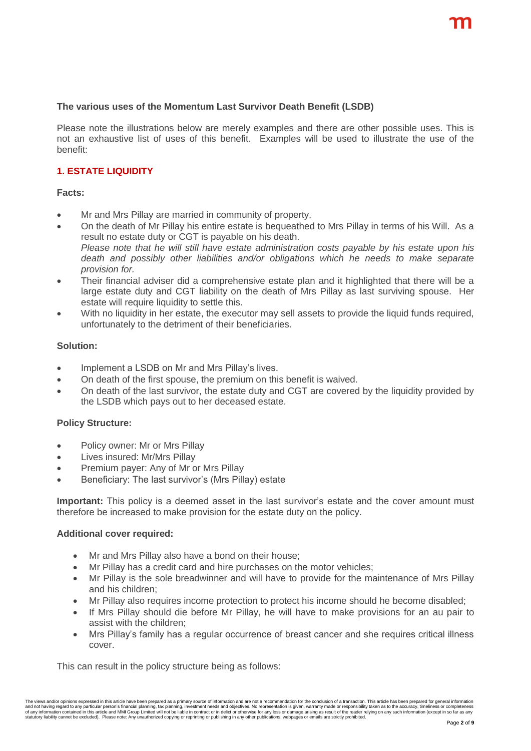#### **The various uses of the Momentum Last Survivor Death Benefit (LSDB)**

Please note the illustrations below are merely examples and there are other possible uses. This is not an exhaustive list of uses of this benefit. Examples will be used to illustrate the use of the benefit:

# **1. ESTATE LIQUIDITY**

#### **Facts:**

- Mr and Mrs Pillay are married in community of property.
- On the death of Mr Pillay his entire estate is bequeathed to Mrs Pillay in terms of his Will. As a result no estate duty or CGT is payable on his death. *Please note that he will still have estate administration costs payable by his estate upon his death and possibly other liabilities and/or obligations which he needs to make separate provision for.*
- Their financial adviser did a comprehensive estate plan and it highlighted that there will be a large estate duty and CGT liability on the death of Mrs Pillay as last surviving spouse. Her estate will require liquidity to settle this.
- With no liquidity in her estate, the executor may sell assets to provide the liquid funds required, unfortunately to the detriment of their beneficiaries.

#### **Solution:**

- Implement a LSDB on Mr and Mrs Pillay's lives.
- On death of the first spouse, the premium on this benefit is waived.
- On death of the last survivor, the estate duty and CGT are covered by the liquidity provided by the LSDB which pays out to her deceased estate.

#### **Policy Structure:**

- Policy owner: Mr or Mrs Pillay
- Lives insured: Mr/Mrs Pillay
- Premium payer: Any of Mr or Mrs Pillay
- Beneficiary: The last survivor's (Mrs Pillay) estate

**Important:** This policy is a deemed asset in the last survivor's estate and the cover amount must therefore be increased to make provision for the estate duty on the policy.

#### **Additional cover required:**

- Mr and Mrs Pillay also have a bond on their house;
- Mr Pillay has a credit card and hire purchases on the motor vehicles;
- Mr Pillay is the sole breadwinner and will have to provide for the maintenance of Mrs Pillay and his children;
- Mr Pillay also requires income protection to protect his income should he become disabled;
- If Mrs Pillay should die before Mr Pillay, he will have to make provisions for an au pair to assist with the children;
- Mrs Pillay's family has a regular occurrence of breast cancer and she requires critical illness cover.

This can result in the policy structure being as follows: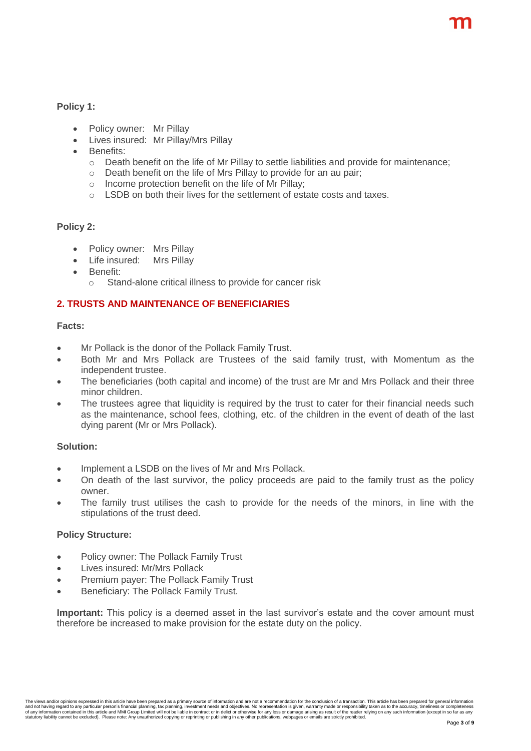**Policy 1:**

- Policy owner: Mr Pillay
- Lives insured: Mr Pillay/Mrs Pillay
- Benefits:
	- $\circ$  Death benefit on the life of Mr Pillay to settle liabilities and provide for maintenance:
	- o Death benefit on the life of Mrs Pillay to provide for an au pair;
	- $\circ$  Income protection benefit on the life of Mr Pillay;
	- o LSDB on both their lives for the settlement of estate costs and taxes.

#### **Policy 2:**

- Policy owner: Mrs Pillay
- Life insured: Mrs Pillay
- Benefit:
	- o Stand-alone critical illness to provide for cancer risk

## **2. TRUSTS AND MAINTENANCE OF BENEFICIARIES**

#### **Facts:**

- Mr Pollack is the donor of the Pollack Family Trust.
- Both Mr and Mrs Pollack are Trustees of the said family trust, with Momentum as the independent trustee.
- The beneficiaries (both capital and income) of the trust are Mr and Mrs Pollack and their three minor children.
- The trustees agree that liquidity is required by the trust to cater for their financial needs such as the maintenance, school fees, clothing, etc. of the children in the event of death of the last dying parent (Mr or Mrs Pollack).

#### **Solution:**

- Implement a LSDB on the lives of Mr and Mrs Pollack.
- On death of the last survivor, the policy proceeds are paid to the family trust as the policy owner.
- The family trust utilises the cash to provide for the needs of the minors, in line with the stipulations of the trust deed.

#### **Policy Structure:**

- Policy owner: The Pollack Family Trust
- Lives insured: Mr/Mrs Pollack
- Premium payer: The Pollack Family Trust
- Beneficiary: The Pollack Family Trust.

**Important:** This policy is a deemed asset in the last survivor's estate and the cover amount must therefore be increased to make provision for the estate duty on the policy.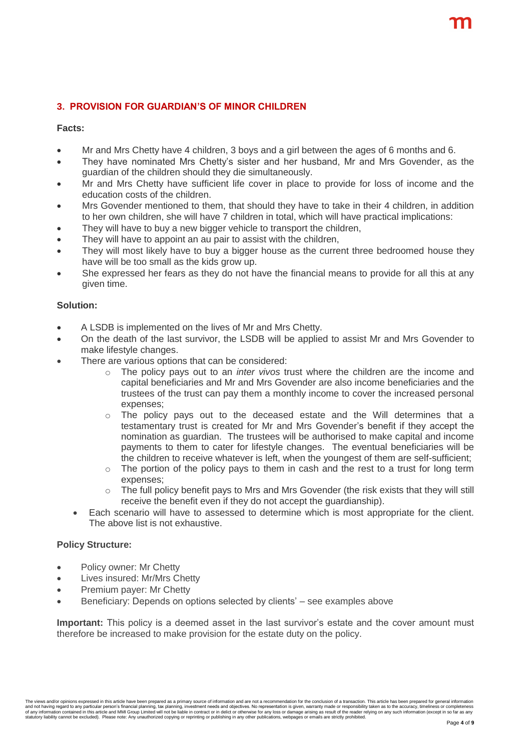# **3. PROVISION FOR GUARDIAN'S OF MINOR CHILDREN**

#### **Facts:**

- Mr and Mrs Chetty have 4 children, 3 boys and a girl between the ages of 6 months and 6.
- They have nominated Mrs Chetty's sister and her husband, Mr and Mrs Govender, as the guardian of the children should they die simultaneously.
- Mr and Mrs Chetty have sufficient life cover in place to provide for loss of income and the education costs of the children.
- Mrs Govender mentioned to them, that should they have to take in their 4 children, in addition to her own children, she will have 7 children in total, which will have practical implications:
- They will have to buy a new bigger vehicle to transport the children,
- They will have to appoint an au pair to assist with the children,
- They will most likely have to buy a bigger house as the current three bedroomed house they have will be too small as the kids grow up.
- She expressed her fears as they do not have the financial means to provide for all this at any given time.

#### **Solution:**

- A LSDB is implemented on the lives of Mr and Mrs Chetty.
- On the death of the last survivor, the LSDB will be applied to assist Mr and Mrs Govender to make lifestyle changes.
- There are various options that can be considered:
	- o The policy pays out to an *inter vivos* trust where the children are the income and capital beneficiaries and Mr and Mrs Govender are also income beneficiaries and the trustees of the trust can pay them a monthly income to cover the increased personal expenses;
	- $\circ$  The policy pays out to the deceased estate and the Will determines that a testamentary trust is created for Mr and Mrs Govender's benefit if they accept the nomination as guardian. The trustees will be authorised to make capital and income payments to them to cater for lifestyle changes. The eventual beneficiaries will be the children to receive whatever is left, when the youngest of them are self-sufficient;
	- $\circ$  The portion of the policy pays to them in cash and the rest to a trust for long term expenses;
	- $\circ$  The full policy benefit pays to Mrs and Mrs Govender (the risk exists that they will still receive the benefit even if they do not accept the guardianship).
	- Each scenario will have to assessed to determine which is most appropriate for the client. The above list is not exhaustive.

#### **Policy Structure:**

- Policy owner: Mr Chetty
- Lives insured: Mr/Mrs Chetty
- Premium payer: Mr Chetty
- Beneficiary: Depends on options selected by clients' see examples above

**Important:** This policy is a deemed asset in the last survivor's estate and the cover amount must therefore be increased to make provision for the estate duty on the policy.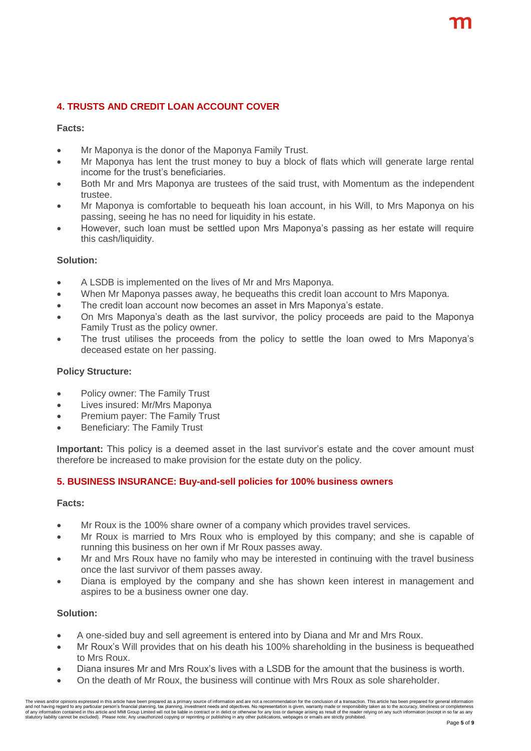# **4. TRUSTS AND CREDIT LOAN ACCOUNT COVER**

#### **Facts:**

- Mr Maponya is the donor of the Maponya Family Trust.
- Mr Maponya has lent the trust money to buy a block of flats which will generate large rental income for the trust's beneficiaries.
- Both Mr and Mrs Maponya are trustees of the said trust, with Momentum as the independent trustee.
- Mr Maponya is comfortable to bequeath his loan account, in his Will, to Mrs Maponya on his passing, seeing he has no need for liquidity in his estate.
- However, such loan must be settled upon Mrs Maponya's passing as her estate will require this cash/liquidity.

#### **Solution:**

- A LSDB is implemented on the lives of Mr and Mrs Maponya.
- When Mr Maponya passes away, he bequeaths this credit loan account to Mrs Maponya.
- The credit loan account now becomes an asset in Mrs Maponya's estate.
- On Mrs Maponya's death as the last survivor, the policy proceeds are paid to the Maponya Family Trust as the policy owner.
- The trust utilises the proceeds from the policy to settle the loan owed to Mrs Maponya's deceased estate on her passing.

#### **Policy Structure:**

- Policy owner: The Family Trust
- Lives insured: Mr/Mrs Maponya
- Premium payer: The Family Trust
- Beneficiary: The Family Trust

**Important:** This policy is a deemed asset in the last survivor's estate and the cover amount must therefore be increased to make provision for the estate duty on the policy.

## **5. BUSINESS INSURANCE: Buy-and-sell policies for 100% business owners**

#### **Facts:**

- Mr Roux is the 100% share owner of a company which provides travel services.
- Mr Roux is married to Mrs Roux who is employed by this company; and she is capable of running this business on her own if Mr Roux passes away.
- Mr and Mrs Roux have no family who may be interested in continuing with the travel business once the last survivor of them passes away.
- Diana is employed by the company and she has shown keen interest in management and aspires to be a business owner one day.

#### **Solution:**

- A one-sided buy and sell agreement is entered into by Diana and Mr and Mrs Roux.
- Mr Roux's Will provides that on his death his 100% shareholding in the business is bequeathed to Mrs Roux.
- Diana insures Mr and Mrs Roux's lives with a LSDB for the amount that the business is worth.
- On the death of Mr Roux, the business will continue with Mrs Roux as sole shareholder.

The views and/or opinions expressed in this article have been prepared as a primary source of information and are not a recommendation for the conclusion of a transaction. This article has been prepared for general informa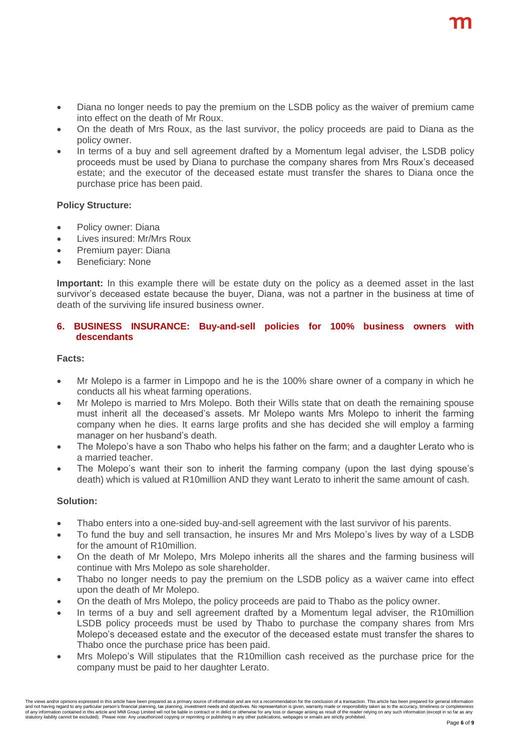- Diana no longer needs to pay the premium on the LSDB policy as the waiver of premium came into effect on the death of Mr Roux.
- On the death of Mrs Roux, as the last survivor, the policy proceeds are paid to Diana as the policy owner.
- In terms of a buy and sell agreement drafted by a Momentum legal adviser, the LSDB policy proceeds must be used by Diana to purchase the company shares from Mrs Roux's deceased estate; and the executor of the deceased estate must transfer the shares to Diana once the purchase price has been paid.

## **Policy Structure:**

- Policy owner: Diana
- Lives insured: Mr/Mrs Roux
- Premium payer: Diana
- Beneficiary: None

**Important:** In this example there will be estate duty on the policy as a deemed asset in the last survivor's deceased estate because the buyer, Diana, was not a partner in the business at time of death of the surviving life insured business owner.

#### **6. BUSINESS INSURANCE: Buy-and-sell policies for 100% business owners with descendants**

#### **Facts:**

- Mr Molepo is a farmer in Limpopo and he is the 100% share owner of a company in which he conducts all his wheat farming operations.
- Mr Molepo is married to Mrs Molepo. Both their Wills state that on death the remaining spouse must inherit all the deceased's assets. Mr Molepo wants Mrs Molepo to inherit the farming company when he dies. It earns large profits and she has decided she will employ a farming manager on her husband's death.
- The Molepo's have a son Thabo who helps his father on the farm; and a daughter Lerato who is a married teacher.
- The Molepo's want their son to inherit the farming company (upon the last dying spouse's death) which is valued at R10million AND they want Lerato to inherit the same amount of cash.

#### **Solution:**

- Thabo enters into a one-sided buy-and-sell agreement with the last survivor of his parents.
- To fund the buy and sell transaction, he insures Mr and Mrs Molepo's lives by way of a LSDB for the amount of R10million.
- On the death of Mr Molepo, Mrs Molepo inherits all the shares and the farming business will continue with Mrs Molepo as sole shareholder.
- Thabo no longer needs to pay the premium on the LSDB policy as a waiver came into effect upon the death of Mr Molepo.
- On the death of Mrs Molepo, the policy proceeds are paid to Thabo as the policy owner.
- In terms of a buy and sell agreement drafted by a Momentum legal adviser, the R10million LSDB policy proceeds must be used by Thabo to purchase the company shares from Mrs Molepo's deceased estate and the executor of the deceased estate must transfer the shares to Thabo once the purchase price has been paid.
- Mrs Molepo's Will stipulates that the R10million cash received as the purchase price for the company must be paid to her daughter Lerato.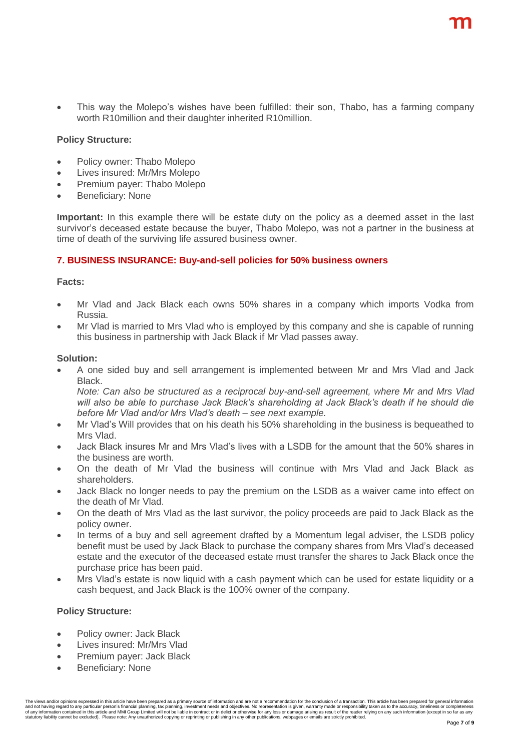This way the Molepo's wishes have been fulfilled: their son, Thabo, has a farming company worth R10million and their daughter inherited R10million.

#### **Policy Structure:**

- Policy owner: Thabo Molepo
- Lives insured: Mr/Mrs Molepo
- Premium payer: Thabo Molepo
- Beneficiary: None

**Important:** In this example there will be estate duty on the policy as a deemed asset in the last survivor's deceased estate because the buyer, Thabo Molepo, was not a partner in the business at time of death of the surviving life assured business owner.

#### **7. BUSINESS INSURANCE: Buy-and-sell policies for 50% business owners**

#### **Facts:**

- Mr Vlad and Jack Black each owns 50% shares in a company which imports Vodka from Russia.
- Mr Vlad is married to Mrs Vlad who is employed by this company and she is capable of running this business in partnership with Jack Black if Mr Vlad passes away.

#### **Solution:**

 A one sided buy and sell arrangement is implemented between Mr and Mrs Vlad and Jack **Black** 

*Note: Can also be structured as a reciprocal buy-and-sell agreement, where Mr and Mrs Vlad will also be able to purchase Jack Black's shareholding at Jack Black's death if he should die before Mr Vlad and/or Mrs Vlad's death – see next example.*

- Mr Vlad's Will provides that on his death his 50% shareholding in the business is bequeathed to Mrs Vlad.
- Jack Black insures Mr and Mrs Vlad's lives with a LSDB for the amount that the 50% shares in the business are worth.
- On the death of Mr Vlad the business will continue with Mrs Vlad and Jack Black as shareholders.
- Jack Black no longer needs to pay the premium on the LSDB as a waiver came into effect on the death of Mr Vlad.
- On the death of Mrs Vlad as the last survivor, the policy proceeds are paid to Jack Black as the policy owner.
- In terms of a buy and sell agreement drafted by a Momentum legal adviser, the LSDB policy benefit must be used by Jack Black to purchase the company shares from Mrs Vlad's deceased estate and the executor of the deceased estate must transfer the shares to Jack Black once the purchase price has been paid.
- Mrs Vlad's estate is now liquid with a cash payment which can be used for estate liquidity or a cash bequest, and Jack Black is the 100% owner of the company.

#### **Policy Structure:**

- Policy owner: Jack Black
- Lives insured: Mr/Mrs Vlad
- Premium payer: Jack Black
- Beneficiary: None

.<br>The views and/or opinions expressed in this article have been prepared as a primary source of information and are not a recommendation for the conclusion of a transaction. This article has been prepared for general infor statutory liability cannot be excluded). Please note: Any unauthorized copying or reprinting or publishing in any other publications, webpages or emails are strictly prohibited.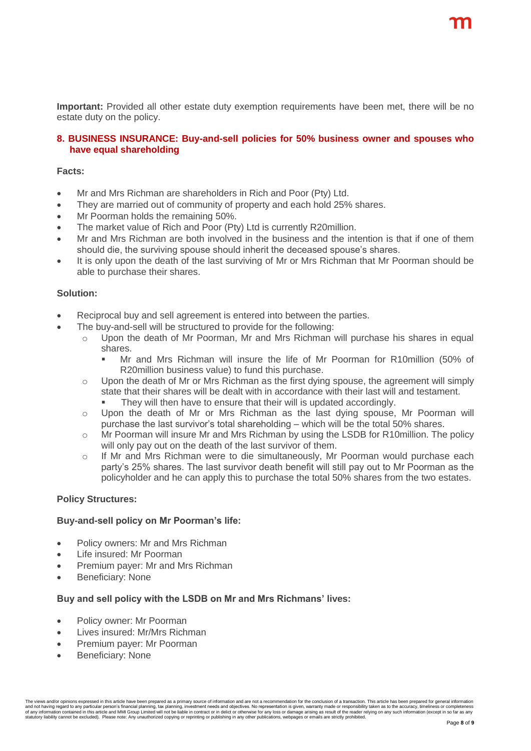**Important:** Provided all other estate duty exemption requirements have been met, there will be no estate duty on the policy.

#### **8. BUSINESS INSURANCE: Buy-and-sell policies for 50% business owner and spouses who have equal shareholding**

#### **Facts:**

- Mr and Mrs Richman are shareholders in Rich and Poor (Pty) Ltd.
- They are married out of community of property and each hold 25% shares.
- Mr Poorman holds the remaining 50%.
- The market value of Rich and Poor (Pty) Ltd is currently R20million.
- Mr and Mrs Richman are both involved in the business and the intention is that if one of them should die, the surviving spouse should inherit the deceased spouse's shares.
- It is only upon the death of the last surviving of Mr or Mrs Richman that Mr Poorman should be able to purchase their shares.

#### **Solution:**

- Reciprocal buy and sell agreement is entered into between the parties.
- The buy-and-sell will be structured to provide for the following:
	- $\circ$  Upon the death of Mr Poorman, Mr and Mrs Richman will purchase his shares in equal shares.
		- Mr and Mrs Richman will insure the life of Mr Poorman for R10million (50% of R20million business value) to fund this purchase.
	- $\circ$  Upon the death of Mr or Mrs Richman as the first dying spouse, the agreement will simply state that their shares will be dealt with in accordance with their last will and testament.
		- They will then have to ensure that their will is updated accordingly.
	- o Upon the death of Mr or Mrs Richman as the last dying spouse, Mr Poorman will purchase the last survivor's total shareholding – which will be the total 50% shares.
	- o Mr Poorman will insure Mr and Mrs Richman by using the LSDB for R10million. The policy will only pay out on the death of the last survivor of them.
	- $\circ$  If Mr and Mrs Richman were to die simultaneously, Mr Poorman would purchase each party's 25% shares. The last survivor death benefit will still pay out to Mr Poorman as the policyholder and he can apply this to purchase the total 50% shares from the two estates.

#### **Policy Structures:**

#### **Buy-and-sell policy on Mr Poorman's life:**

- Policy owners: Mr and Mrs Richman
- Life insured: Mr Poorman
- Premium payer: Mr and Mrs Richman
- Beneficiary: None

#### **Buy and sell policy with the LSDB on Mr and Mrs Richmans' lives:**

- Policy owner: Mr Poorman
- Lives insured: Mr/Mrs Richman
- Premium payer: Mr Poorman
- Beneficiary: None